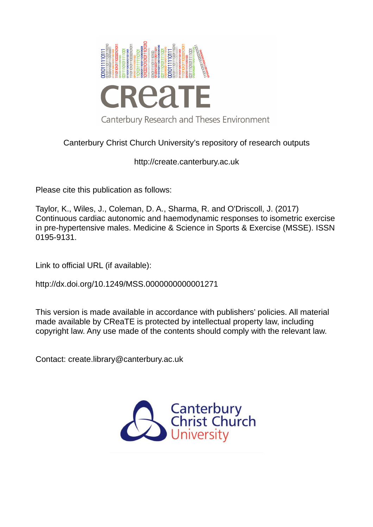

# Canterbury Christ Church University's repository of research outputs

http://create.canterbury.ac.uk

Please cite this publication as follows:

Taylor, K., Wiles, J., Coleman, D. A., Sharma, R. and O'Driscoll, J. (2017) Continuous cardiac autonomic and haemodynamic responses to isometric exercise in pre-hypertensive males. Medicine & Science in Sports & Exercise (MSSE). ISSN 0195-9131.

Link to official URL (if available):

http://dx.doi.org/10.1249/MSS.0000000000001271

This version is made available in accordance with publishers' policies. All material made available by CReaTE is protected by intellectual property law, including copyright law. Any use made of the contents should comply with the relevant law.

Contact: create.library@canterbury.ac.uk

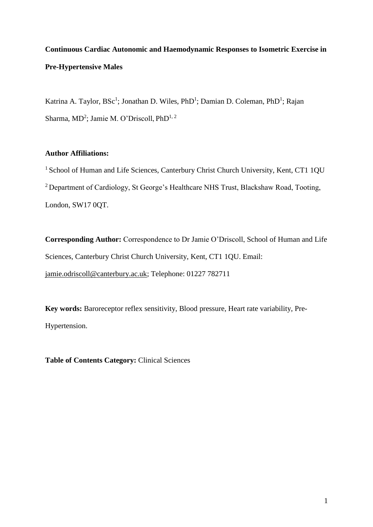# **Continuous Cardiac Autonomic and Haemodynamic Responses to Isometric Exercise in Pre-Hypertensive Males**

Katrina A. Taylor, BSc<sup>1</sup>; Jonathan D. Wiles, PhD<sup>1</sup>; Damian D. Coleman, PhD<sup>1</sup>; Rajan Sharma, MD<sup>2</sup>; Jamie M. O'Driscoll, PhD<sup>1, 2</sup>

# **Author Affiliations:**

<sup>1</sup> School of Human and Life Sciences, Canterbury Christ Church University, Kent, CT1 1QU <sup>2</sup> Department of Cardiology, St George's Healthcare NHS Trust, Blackshaw Road, Tooting, London, SW17 0QT.

**Corresponding Author:** Correspondence to Dr Jamie O'Driscoll, School of Human and Life Sciences, Canterbury Christ Church University, Kent, CT1 1QU. Email: [jamie.odriscoll@canterbury.ac.uk;](mailto:jamie.odriscoll@canterbury.ac.uk) Telephone: 01227 782711

**Key words:** Baroreceptor reflex sensitivity, Blood pressure, Heart rate variability, Pre-Hypertension.

**Table of Contents Category:** Clinical Sciences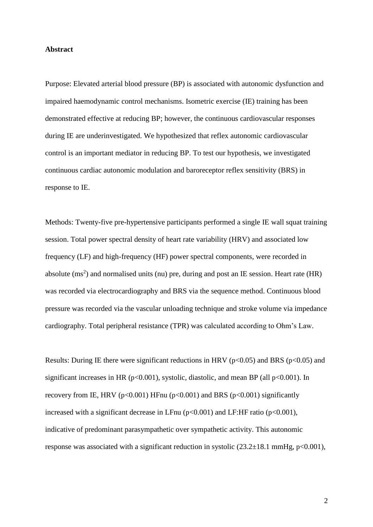### **Abstract**

Purpose: Elevated arterial blood pressure (BP) is associated with autonomic dysfunction and impaired haemodynamic control mechanisms. Isometric exercise (IE) training has been demonstrated effective at reducing BP; however, the continuous cardiovascular responses during IE are underinvestigated. We hypothesized that reflex autonomic cardiovascular control is an important mediator in reducing BP. To test our hypothesis, we investigated continuous cardiac autonomic modulation and baroreceptor reflex sensitivity (BRS) in response to IE.

Methods: Twenty-five pre-hypertensive participants performed a single IE wall squat training session. Total power spectral density of heart rate variability (HRV) and associated low frequency (LF) and high-frequency (HF) power spectral components, were recorded in absolute  $(ms<sup>2</sup>)$  and normalised units (nu) pre, during and post an IE session. Heart rate (HR) was recorded via electrocardiography and BRS via the sequence method. Continuous blood pressure was recorded via the vascular unloading technique and stroke volume via impedance cardiography. Total peripheral resistance (TPR) was calculated according to Ohm's Law.

Results: During IE there were significant reductions in HRV ( $p<0.05$ ) and BRS ( $p<0.05$ ) and significant increases in HR ( $p<0.001$ ), systolic, diastolic, and mean BP (all  $p<0.001$ ). In recovery from IE, HRV ( $p<0.001$ ) HFnu ( $p<0.001$ ) and BRS ( $p<0.001$ ) significantly increased with a significant decrease in LFnu  $(p<0.001)$  and LF:HF ratio  $(p<0.001)$ , indicative of predominant parasympathetic over sympathetic activity. This autonomic response was associated with a significant reduction in systolic  $(23.2 \pm 18.1 \text{ mmHg}, p<0.001)$ ,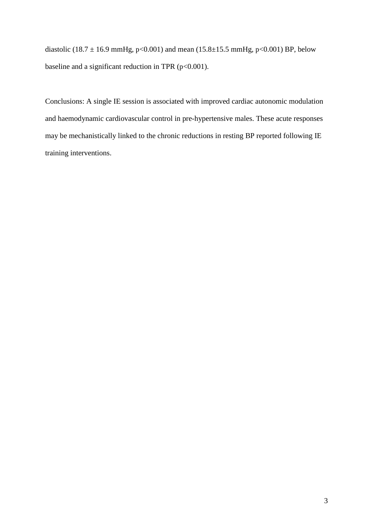diastolic (18.7  $\pm$  16.9 mmHg, p<0.001) and mean (15.8 $\pm$ 15.5 mmHg, p<0.001) BP, below baseline and a significant reduction in TPR ( $p<0.001$ ).

Conclusions: A single IE session is associated with improved cardiac autonomic modulation and haemodynamic cardiovascular control in pre-hypertensive males. These acute responses may be mechanistically linked to the chronic reductions in resting BP reported following IE training interventions.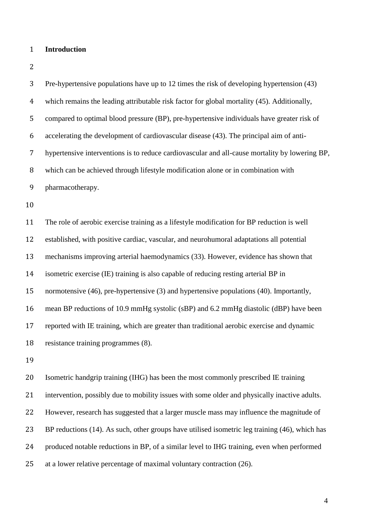## **Introduction**

| 3              | Pre-hypertensive populations have up to 12 times the risk of developing hypertension (43)      |
|----------------|------------------------------------------------------------------------------------------------|
| $\overline{4}$ | which remains the leading attributable risk factor for global mortality (45). Additionally,    |
| 5              | compared to optimal blood pressure (BP), pre-hypertensive individuals have greater risk of     |
| 6              | accelerating the development of cardiovascular disease (43). The principal aim of anti-        |
| $\overline{7}$ | hypertensive interventions is to reduce cardiovascular and all-cause mortality by lowering BP, |
| $\, 8$         | which can be achieved through lifestyle modification alone or in combination with              |
| 9              | pharmacotherapy.                                                                               |
| 10             |                                                                                                |
| 11             | The role of aerobic exercise training as a lifestyle modification for BP reduction is well     |
| 12             | established, with positive cardiac, vascular, and neurohumoral adaptations all potential       |
| 13             | mechanisms improving arterial haemodynamics (33). However, evidence has shown that             |
| 14             | isometric exercise (IE) training is also capable of reducing resting arterial BP in            |
| 15             | normotensive (46), pre-hypertensive (3) and hypertensive populations (40). Importantly,        |
| 16             | mean BP reductions of 10.9 mmHg systolic (sBP) and 6.2 mmHg diastolic (dBP) have been          |
| 17             | reported with IE training, which are greater than traditional aerobic exercise and dynamic     |
| 18             | resistance training programmes (8).                                                            |
| 19             |                                                                                                |

 Isometric handgrip training (IHG) has been the most commonly prescribed IE training intervention, possibly due to mobility issues with some older and physically inactive adults. However, research has suggested that a larger muscle mass may influence the magnitude of 23 BP reductions (14). As such, other groups have utilised isometric leg training (46), which has produced notable reductions in BP, of a similar level to IHG training, even when performed at a lower relative percentage of maximal voluntary contraction (26).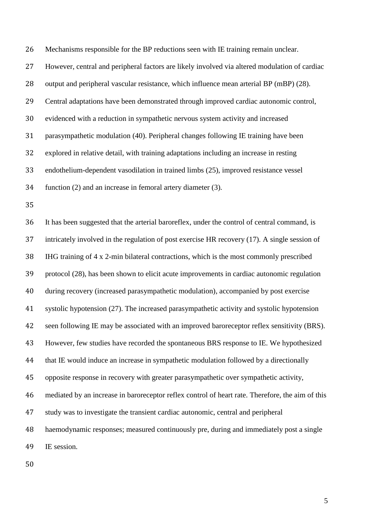Mechanisms responsible for the BP reductions seen with IE training remain unclear. However, central and peripheral factors are likely involved via altered modulation of cardiac output and peripheral vascular resistance, which influence mean arterial BP (mBP) (28). Central adaptations have been demonstrated through improved cardiac autonomic control, evidenced with a reduction in sympathetic nervous system activity and increased parasympathetic modulation (40). Peripheral changes following IE training have been explored in relative detail, with training adaptations including an increase in resting endothelium-dependent vasodilation in trained limbs (25), improved resistance vessel function (2) and an increase in femoral artery diameter (3).

 It has been suggested that the arterial baroreflex, under the control of central command, is intricately involved in the regulation of post exercise HR recovery (17). A single session of IHG training of 4 x 2-min bilateral contractions, which is the most commonly prescribed protocol (28), has been shown to elicit acute improvements in cardiac autonomic regulation during recovery (increased parasympathetic modulation), accompanied by post exercise systolic hypotension (27). The increased parasympathetic activity and systolic hypotension 42 seen following IE may be associated with an improved baroreceptor reflex sensitivity (BRS). However, few studies have recorded the spontaneous BRS response to IE. We hypothesized that IE would induce an increase in sympathetic modulation followed by a directionally opposite response in recovery with greater parasympathetic over sympathetic activity, mediated by an increase in baroreceptor reflex control of heart rate. Therefore, the aim of this study was to investigate the transient cardiac autonomic, central and peripheral haemodynamic responses; measured continuously pre, during and immediately post a single IE session.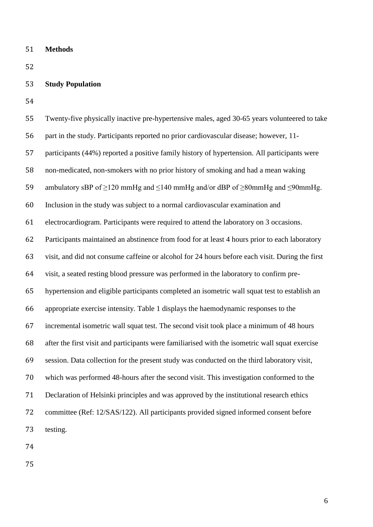**Methods**

# **Study Population**

| 55 | Twenty-five physically inactive pre-hypertensive males, aged 30-65 years volunteered to take         |
|----|------------------------------------------------------------------------------------------------------|
| 56 | part in the study. Participants reported no prior cardiovascular disease; however, 11-               |
| 57 | participants (44%) reported a positive family history of hypertension. All participants were         |
| 58 | non-medicated, non-smokers with no prior history of smoking and had a mean waking                    |
| 59 | ambulatory sBP of $\geq$ 120 mmHg and $\leq$ 140 mmHg and/or dBP of $\geq$ 80mmHg and $\leq$ 90mmHg. |
| 60 | Inclusion in the study was subject to a normal cardiovascular examination and                        |
| 61 | electrocardiogram. Participants were required to attend the laboratory on 3 occasions.               |
| 62 | Participants maintained an abstinence from food for at least 4 hours prior to each laboratory        |
| 63 | visit, and did not consume caffeine or alcohol for 24 hours before each visit. During the first      |
| 64 | visit, a seated resting blood pressure was performed in the laboratory to confirm pre-               |
| 65 | hypertension and eligible participants completed an isometric wall squat test to establish an        |
| 66 | appropriate exercise intensity. Table 1 displays the haemodynamic responses to the                   |
| 67 | incremental isometric wall squat test. The second visit took place a minimum of 48 hours             |
| 68 | after the first visit and participants were familiarised with the isometric wall squat exercise      |
| 69 | session. Data collection for the present study was conducted on the third laboratory visit,          |
| 70 | which was performed 48-hours after the second visit. This investigation conformed to the             |
| 71 | Declaration of Helsinki principles and was approved by the institutional research ethics             |
| 72 | committee (Ref: 12/SAS/122). All participants provided signed informed consent before                |
| 73 | testing.                                                                                             |
|    |                                                                                                      |

- 
-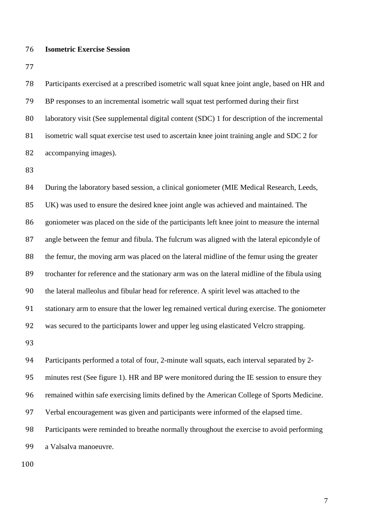#### **Isometric Exercise Session**

 Participants exercised at a prescribed isometric wall squat knee joint angle, based on HR and BP responses to an incremental isometric wall squat test performed during their first 80 laboratory visit (See supplemental digital content (SDC) 1 for description of the incremental isometric wall squat exercise test used to ascertain knee joint training angle and SDC 2 for accompanying images).

84 During the laboratory based session, a clinical goniometer (MIE Medical Research, Leeds, UK) was used to ensure the desired knee joint angle was achieved and maintained. The goniometer was placed on the side of the participants left knee joint to measure the internal angle between the femur and fibula. The fulcrum was aligned with the lateral epicondyle of the femur, the moving arm was placed on the lateral midline of the femur using the greater trochanter for reference and the stationary arm was on the lateral midline of the fibula using the lateral malleolus and fibular head for reference. A spirit level was attached to the stationary arm to ensure that the lower leg remained vertical during exercise. The goniometer was secured to the participants lower and upper leg using elasticated Velcro strapping. Participants performed a total of four, 2-minute wall squats, each interval separated by 2-

minutes rest (See figure 1). HR and BP were monitored during the IE session to ensure they

remained within safe exercising limits defined by the American College of Sports Medicine.

Verbal encouragement was given and participants were informed of the elapsed time.

Participants were reminded to breathe normally throughout the exercise to avoid performing

a Valsalva manoeuvre.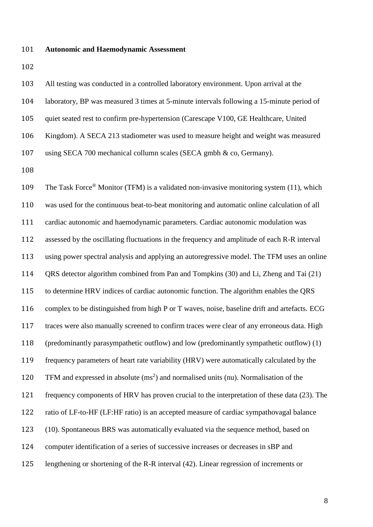#### **Autonomic and Haemodynamic Assessment**

 All testing was conducted in a controlled laboratory environment. Upon arrival at the laboratory, BP was measured 3 times at 5-minute intervals following a 15-minute period of quiet seated rest to confirm pre-hypertension (Carescape V100, GE Healthcare, United Kingdom). A SECA 213 stadiometer was used to measure height and weight was measured using SECA 700 mechanical collumn scales (SECA gmbh & co, Germany).

109 The Task Force<sup>®</sup> Monitor (TFM) is a validated non-invasive monitoring system (11), which was used for the continuous beat-to-beat monitoring and automatic online calculation of all cardiac autonomic and haemodynamic parameters. Cardiac autonomic modulation was assessed by the oscillating fluctuations in the frequency and amplitude of each R-R interval using power spectral analysis and applying an autoregressive model. The TFM uses an online QRS detector algorithm combined from Pan and Tompkins (30) and Li, Zheng and Tai (21) to determine HRV indices of cardiac autonomic function. The algorithm enables the QRS complex to be distinguished from high P or T waves, noise, baseline drift and artefacts. ECG traces were also manually screened to confirm traces were clear of any erroneous data. High (predominantly parasympathetic outflow) and low (predominantly sympathetic outflow) (1) frequency parameters of heart rate variability (HRV) were automatically calculated by the 120 TFM and expressed in absolute  $(ms^2)$  and normalised units (nu). Normalisation of the frequency components of HRV has proven crucial to the interpretation of these data (23). The ratio of LF-to-HF (LF:HF ratio) is an accepted measure of cardiac sympathovagal balance (10). Spontaneous BRS was automatically evaluated via the sequence method, based on computer identification of a series of successive increases or decreases in sBP and lengthening or shortening of the R-R interval (42). Linear regression of increments or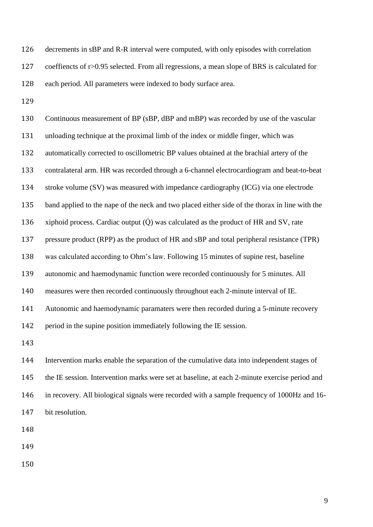decrements in sBP and R-R interval were computed, with only episodes with correlation coeffiencts of r>0.95 selected. From all regressions, a mean slope of BRS is calculated for each period. All parameters were indexed to body surface area.

 Continuous measurement of BP (sBP, dBP and mBP) was recorded by use of the vascular unloading technique at the proximal limb of the index or middle finger, which was automatically corrected to oscillometric BP values obtained at the brachial artery of the contralateral arm. HR was recorded through a 6-channel electrocardiogram and beat-to-beat stroke volume (SV) was measured with impedance cardiography (ICG) via one electrode band applied to the nape of the neck and two placed either side of the thorax in line with the  $\alpha$  xiphoid process. Cardiac output ( $\dot{Q}$ ) was calculated as the product of HR and SV, rate pressure product (RPP) as the product of HR and sBP and total peripheral resistance (TPR) was calculated according to Ohm's law. Following 15 minutes of supine rest, baseline autonomic and haemodynamic function were recorded continuously for 5 minutes. All measures were then recorded continuously throughout each 2-minute interval of IE. Autonomic and haemodynamic paramaters were then recorded during a 5-minute recovery period in the supine position immediately following the IE session. Intervention marks enable the separation of the cumulative data into independent stages of the IE session. Intervention marks were set at baseline, at each 2-minute exercise period and in recovery. All biological signals were recorded with a sample frequency of 1000Hz and 16- bit resolution.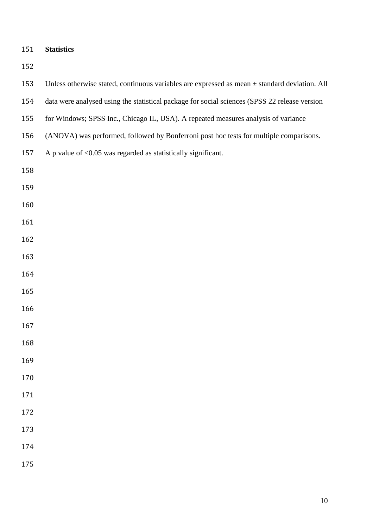| 151 | <b>Statistics</b> |
|-----|-------------------|
|     |                   |

| 153 | Unless otherwise stated, continuous variables are expressed as mean $\pm$ standard deviation. All |
|-----|---------------------------------------------------------------------------------------------------|
| 154 | data were analysed using the statistical package for social sciences (SPSS 22 release version     |
| 155 | for Windows; SPSS Inc., Chicago IL, USA). A repeated measures analysis of variance                |
| 156 | (ANOVA) was performed, followed by Bonferroni post hoc tests for multiple comparisons.            |
| 157 | A p value of $< 0.05$ was regarded as statistically significant.                                  |
| 158 |                                                                                                   |
| 159 |                                                                                                   |
| 160 |                                                                                                   |
| 161 |                                                                                                   |
| 162 |                                                                                                   |
| 163 |                                                                                                   |
| 164 |                                                                                                   |
| 165 |                                                                                                   |
| 166 |                                                                                                   |
| 167 |                                                                                                   |
| 168 |                                                                                                   |
| 169 |                                                                                                   |
| 170 |                                                                                                   |
| 171 |                                                                                                   |
| 172 |                                                                                                   |
| 173 |                                                                                                   |
| 174 |                                                                                                   |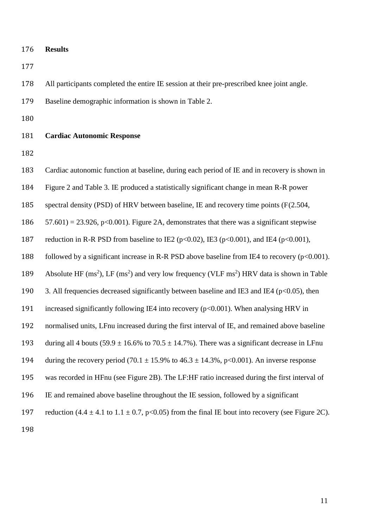**Results** 

All participants completed the entire IE session at their pre-prescribed knee joint angle.

Baseline demographic information is shown in Table 2.

## **Cardiac Autonomic Response**

Cardiac autonomic function at baseline, during each period of IE and in recovery is shown in

Figure 2 and Table 3. IE produced a statistically significant change in mean R-R power

spectral density (PSD) of HRV between baseline, IE and recovery time points (F(2.504,

186  $57.601$  = 23.926, p<0.001). Figure 2A, demonstrates that there was a significant stepwise

187 reduction in R-R PSD from baseline to IE2 ( $p<0.02$ ), IE3 ( $p<0.001$ ), and IE4 ( $p<0.001$ ),

188 followed by a significant increase in R-R PSD above baseline from IE4 to recovery ( $p<0.001$ ).

189 Absolute HF (ms<sup>2</sup>), LF (ms<sup>2</sup>) and very low frequency (VLF ms<sup>2</sup>) HRV data is shown in Table

190 3. All frequencies decreased significantly between baseline and IE3 and IE4 ( $p<0.05$ ), then

increased significantly following IE4 into recovery (p<0.001). When analysing HRV in

normalised units, LFnu increased during the first interval of IE, and remained above baseline

193 during all 4 bouts (59.9  $\pm$  16.6% to 70.5  $\pm$  14.7%). There was a significant decrease in LFnu

194 during the recovery period (70.1  $\pm$  15.9% to 46.3  $\pm$  14.3%, p<0.001). An inverse response

was recorded in HFnu (see Figure 2B). The LF:HF ratio increased during the first interval of

IE and remained above baseline throughout the IE session, followed by a significant

197 reduction  $(4.4 \pm 4.1 \text{ to } 1.1 \pm 0.7, \text{ p} < 0.05)$  from the final IE bout into recovery (see Figure 2C).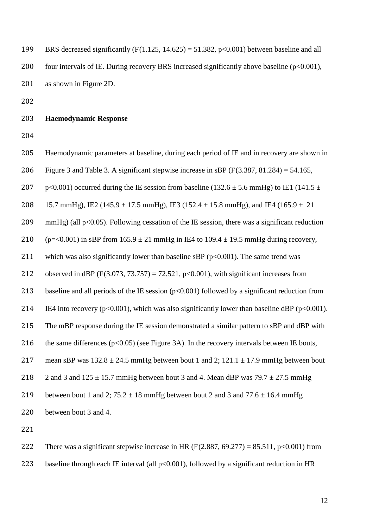199 BRS decreased significantly  $(F(1.125, 14.625) = 51.382, p<0.001)$  between baseline and all 200 four intervals of IE. During recovery BRS increased significantly above baseline (p<0.001), 201 as shown in Figure 2D.

202

203 **Haemodynamic Response** 

204

205 Haemodynamic parameters at baseline, during each period of IE and in recovery are shown in 206 Figure 3 and Table 3. A significant stepwise increase in sBP  $(F(3.387, 81.284) = 54.165$ , 207 p<0.001) occurred during the IE session from baseline (132.6  $\pm$  5.6 mmHg) to IE1 (141.5  $\pm$ 208 15.7 mmHg), IE2 (145.9  $\pm$  17.5 mmHg), IE3 (152.4  $\pm$  15.8 mmHg), and IE4 (165.9  $\pm$  21 209 mmHg) (all p<0.05). Following cessation of the IE session, there was a significant reduction 210 (p=<0.001) in sBP from  $165.9 \pm 21$  mmHg in IE4 to  $109.4 \pm 19.5$  mmHg during recovery, 211 which was also significantly lower than baseline sBP ( $p<0.001$ ). The same trend was 212 observed in dBP (F(3.073, 73.757) = 72.521, p<0.001), with significant increases from 213 baseline and all periods of the IE session  $(p<0.001)$  followed by a significant reduction from 214 IE4 into recovery ( $p<0.001$ ), which was also significantly lower than baseline dBP ( $p<0.001$ ). 215 The mBP response during the IE session demonstrated a similar pattern to sBP and dBP with 216 the same differences ( $p<0.05$ ) (see Figure 3A). In the recovery intervals between IE bouts, 217 mean sBP was  $132.8 \pm 24.5$  mmHg between bout 1 and 2;  $121.1 \pm 17.9$  mmHg between bout 218 2 and 3 and  $125 \pm 15.7$  mmHg between bout 3 and 4. Mean dBP was  $79.7 \pm 27.5$  mmHg 219 between bout 1 and 2;  $75.2 \pm 18$  mmHg between bout 2 and 3 and  $77.6 \pm 16.4$  mmHg 220 between bout 3 and 4. 221

222 There was a significant stepwise increase in HR (F(2.887, 69.277) = 85.511, p<0.001) from

223 baseline through each IE interval (all p<0.001), followed by a significant reduction in HR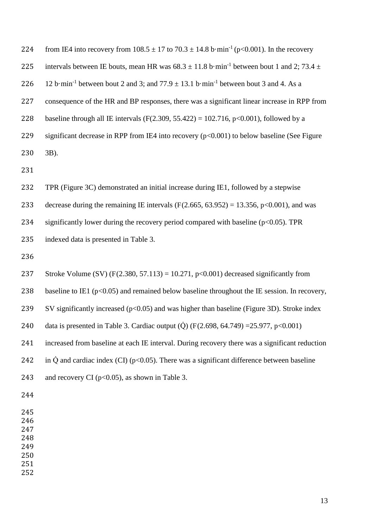| 224 | from IE4 into recovery from $108.5 \pm 17$ to $70.3 \pm 14.8$ b·min <sup>-1</sup> (p<0.001). In the recovery    |
|-----|-----------------------------------------------------------------------------------------------------------------|
| 225 | intervals between IE bouts, mean HR was $68.3 \pm 11.8$ b·min <sup>-1</sup> between bout 1 and 2; 73.4 $\pm$    |
| 226 | 12 b·min <sup>-1</sup> between bout 2 and 3; and $77.9 \pm 13.1$ b·min <sup>-1</sup> between bout 3 and 4. As a |
| 227 | consequence of the HR and BP responses, there was a significant linear increase in RPP from                     |
| 228 | baseline through all IE intervals (F(2.309, 55.422) = 102.716, p<0.001), followed by a                          |
| 229 | significant decrease in RPP from IE4 into recovery $(p<0.001)$ to below baseline (See Figure                    |
| 230 | $3B$ ).                                                                                                         |
| 231 |                                                                                                                 |
| 232 | TPR (Figure 3C) demonstrated an initial increase during IE1, followed by a stepwise                             |
| 233 | decrease during the remaining IE intervals ( $F(2.665, 63.952) = 13.356$ , $p<0.001$ ), and was                 |
| 234 | significantly lower during the recovery period compared with baseline $(p<0.05)$ . TPR                          |
| 235 | indexed data is presented in Table 3.                                                                           |
| 236 |                                                                                                                 |
| 237 | Stroke Volume (SV) (F(2.380, 57.113) = 10.271, p<0.001) decreased significantly from                            |
| 238 | baseline to IE1 ( $p<0.05$ ) and remained below baseline throughout the IE session. In recovery,                |
| 239 | SV significantly increased $(p<0.05)$ and was higher than baseline (Figure 3D). Stroke index                    |
| 240 | data is presented in Table 3. Cardiac output ( $\dot{Q}$ ) (F(2.698, 64.749) = 25.977, p<0.001)                 |
| 241 | increased from baseline at each IE interval. During recovery there was a significant reduction                  |
| 242 | in $\dot{Q}$ and cardiac index (CI) ( $p<0.05$ ). There was a significant difference between baseline           |
| 243 | and recovery CI ( $p<0.05$ ), as shown in Table 3.                                                              |
| 244 |                                                                                                                 |
| 245 |                                                                                                                 |
| 246 |                                                                                                                 |
| 247 |                                                                                                                 |
| 248 |                                                                                                                 |
| 249 |                                                                                                                 |
| 250 |                                                                                                                 |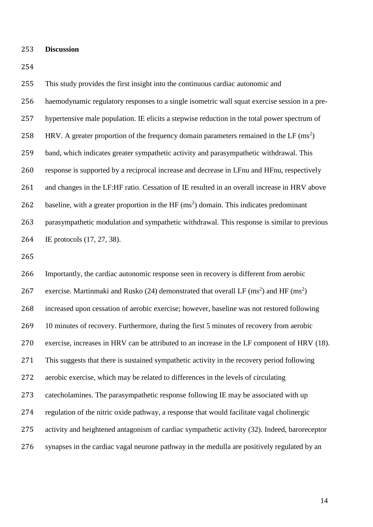#### **Discussion**

 This study provides the first insight into the continuous cardiac autonomic and haemodynamic regulatory responses to a single isometric wall squat exercise session in a pre- hypertensive male population. IE elicits a stepwise reduction in the total power spectrum of 258 HRV. A greater proportion of the frequency domain parameters remained in the LF  $(ms^2)$  band, which indicates greater sympathetic activity and parasympathetic withdrawal. This response is supported by a reciprocal increase and decrease in LFnu and HFnu, respectively and changes in the LF:HF ratio. Cessation of IE resulted in an overall increase in HRV above 262 baseline, with a greater proportion in the HF  $(ms^2)$  domain. This indicates predominant parasympathetic modulation and sympathetic withdrawal. This response is similar to previous IE protocols (17, 27, 38).

 Importantly, the cardiac autonomic response seen in recovery is different from aerobic 267 exercise. Martinmaki and Rusko (24) demonstrated that overall LF (ms<sup>2</sup>) and HF (ms<sup>2</sup>) increased upon cessation of aerobic exercise; however, baseline was not restored following 269 10 minutes of recovery. Furthermore, during the first 5 minutes of recovery from aerobic exercise, increases in HRV can be attributed to an increase in the LF component of HRV (18). This suggests that there is sustained sympathetic activity in the recovery period following aerobic exercise, which may be related to differences in the levels of circulating catecholamines. The parasympathetic response following IE may be associated with up regulation of the nitric oxide pathway, a response that would facilitate vagal cholinergic activity and heightened antagonism of cardiac sympathetic activity (32). Indeed, baroreceptor synapses in the cardiac vagal neurone pathway in the medulla are positively regulated by an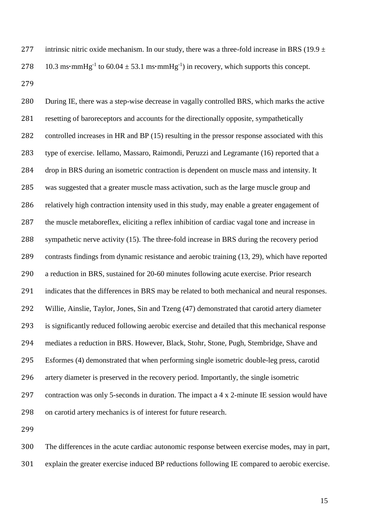277 intrinsic nitric oxide mechanism. In our study, there was a three-fold increase in BRS (19.9  $\pm$ 278 10.3 ms• $m m$ Hg<sup>-1</sup> to 60.04  $\pm$  53.1 ms• $m m$ Hg<sup>-1</sup>) in recovery, which supports this concept. 

 During IE, there was a step-wise decrease in vagally controlled BRS, which marks the active resetting of baroreceptors and accounts for the directionally opposite, sympathetically controlled increases in HR and BP (15) resulting in the pressor response associated with this type of exercise. Iellamo, Massaro, Raimondi, Peruzzi and Legramante (16) reported that a drop in BRS during an isometric contraction is dependent on muscle mass and intensity. It was suggested that a greater muscle mass activation, such as the large muscle group and relatively high contraction intensity used in this study, may enable a greater engagement of the muscle metaboreflex, eliciting a reflex inhibition of cardiac vagal tone and increase in sympathetic nerve activity (15). The three-fold increase in BRS during the recovery period contrasts findings from dynamic resistance and aerobic training (13, 29), which have reported a reduction in BRS, sustained for 20-60 minutes following acute exercise. Prior research indicates that the differences in BRS may be related to both mechanical and neural responses. Willie, Ainslie, Taylor, Jones, Sin and Tzeng (47) demonstrated that carotid artery diameter is significantly reduced following aerobic exercise and detailed that this mechanical response mediates a reduction in BRS. However, Black, Stohr, Stone, Pugh, Stembridge, Shave and Esformes (4) demonstrated that when performing single isometric double-leg press, carotid artery diameter is preserved in the recovery period. Importantly, the single isometric contraction was only 5-seconds in duration. The impact a 4 x 2-minute IE session would have on carotid artery mechanics is of interest for future research.

 The differences in the acute cardiac autonomic response between exercise modes, may in part, explain the greater exercise induced BP reductions following IE compared to aerobic exercise.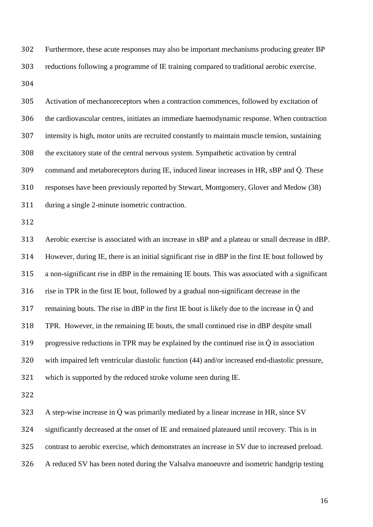Furthermore, these acute responses may also be important mechanisms producing greater BP reductions following a programme of IE training compared to traditional aerobic exercise. 

 Activation of mechanoreceptors when a contraction commences, followed by excitation of the cardiovascular centres, initiates an immediate haemodynamic response. When contraction intensity is high, motor units are recruited constantly to maintain muscle tension, sustaining the excitatory state of the central nervous system. Sympathetic activation by central 309 command and metaboreceptors during IE, induced linear increases in HR, sBP and Q. These responses have been previously reported by Stewart, Montgomery, Glover and Medow (38) during a single 2-minute isometric contraction.

 Aerobic exercise is associated with an increase in sBP and a plateau or small decrease in dBP. However, during IE, there is an initial significant rise in dBP in the first IE bout followed by a non-significant rise in dBP in the remaining IE bouts. This was associated with a significant rise in TPR in the first IE bout, followed by a gradual non-significant decrease in the 317 remaining bouts. The rise in dBP in the first IE bout is likely due to the increase in  $\dot{Q}$  and TPR. However, in the remaining IE bouts, the small continued rise in dBP despite small 319 progressive reductions in TPR may be explained by the continued rise in  $\dot{Q}$  in association with impaired left ventricular diastolic function (44) and/or increased end-diastolic pressure, which is supported by the reduced stroke volume seen during IE.

 A step-wise increase in  $\dot{Q}$  was primarily mediated by a linear increase in HR, since SV significantly decreased at the onset of IE and remained plateaued until recovery. This is in contrast to aerobic exercise, which demonstrates an increase in SV due to increased preload. A reduced SV has been noted during the Valsalva manoeuvre and isometric handgrip testing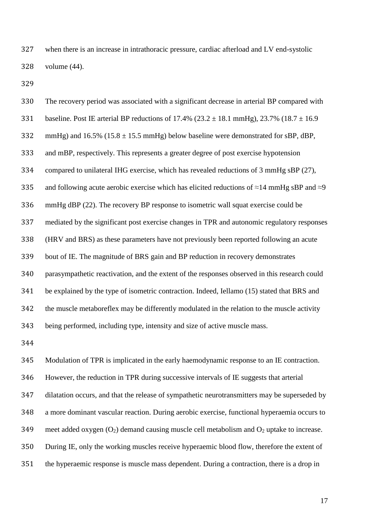when there is an increase in intrathoracic pressure, cardiac afterload and LV end-systolic volume (44).

 The recovery period was associated with a significant decrease in arterial BP compared with 331 baseline. Post IE arterial BP reductions of  $17.4\%$  ( $23.2 \pm 18.1$  mmHg),  $23.7\%$  ( $18.7 \pm 16.9$ 332 mmHg) and  $16.5\%$  ( $15.8 \pm 15.5$  mmHg) below baseline were demonstrated for sBP, dBP, and mBP, respectively. This represents a greater degree of post exercise hypotension compared to unilateral IHG exercise, which has revealed reductions of 3 mmHg sBP (27), 335 and following acute aerobic exercise which has elicited reductions of  $\approx$ 14 mmHg sBP and  $\approx$ 9 mmHg dBP (22). The recovery BP response to isometric wall squat exercise could be mediated by the significant post exercise changes in TPR and autonomic regulatory responses (HRV and BRS) as these parameters have not previously been reported following an acute bout of IE. The magnitude of BRS gain and BP reduction in recovery demonstrates parasympathetic reactivation, and the extent of the responses observed in this research could be explained by the type of isometric contraction. Indeed, Iellamo (15) stated that BRS and the muscle metaboreflex may be differently modulated in the relation to the muscle activity being performed, including type, intensity and size of active muscle mass. 

 Modulation of TPR is implicated in the early haemodynamic response to an IE contraction. However, the reduction in TPR during successive intervals of IE suggests that arterial dilatation occurs, and that the release of sympathetic neurotransmitters may be superseded by a more dominant vascular reaction. During aerobic exercise, functional hyperaemia occurs to 349 meet added oxygen  $(O_2)$  demand causing muscle cell metabolism and  $O_2$  uptake to increase. During IE, only the working muscles receive hyperaemic blood flow, therefore the extent of the hyperaemic response is muscle mass dependent. During a contraction, there is a drop in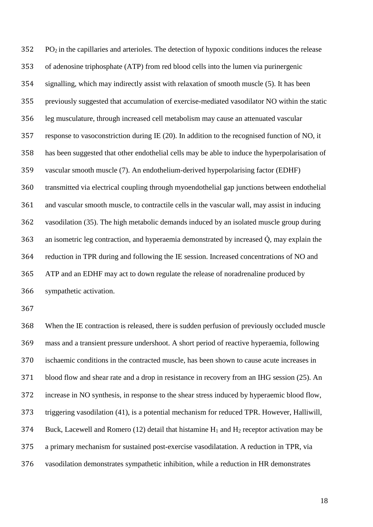PO<sub>2</sub> in the capillaries and arterioles. The detection of hypoxic conditions induces the release of adenosine triphosphate (ATP) from red blood cells into the lumen via purinergenic signalling, which may indirectly assist with relaxation of smooth muscle (5). It has been previously suggested that accumulation of exercise-mediated vasodilator NO within the static leg musculature, through increased cell metabolism may cause an attenuated vascular response to vasoconstriction during IE (20). In addition to the recognised function of NO, it has been suggested that other endothelial cells may be able to induce the hyperpolarisation of vascular smooth muscle (7). An endothelium-derived hyperpolarising factor (EDHF) transmitted via electrical coupling through myoendothelial gap junctions between endothelial and vascular smooth muscle, to contractile cells in the vascular wall, may assist in inducing vasodilation (35). The high metabolic demands induced by an isolated muscle group during 363 an isometric leg contraction, and hyperaemia demonstrated by increased  $\dot{Q}$ , may explain the reduction in TPR during and following the IE session. Increased concentrations of NO and ATP and an EDHF may act to down regulate the release of noradrenaline produced by sympathetic activation.

 When the IE contraction is released, there is sudden perfusion of previously occluded muscle mass and a transient pressure undershoot. A short period of reactive hyperaemia, following ischaemic conditions in the contracted muscle, has been shown to cause acute increases in blood flow and shear rate and a drop in resistance in recovery from an IHG session (25). An increase in NO synthesis, in response to the shear stress induced by hyperaemic blood flow, triggering vasodilation (41), is a potential mechanism for reduced TPR. However, Halliwill, 374 Buck, Lacewell and Romero (12) detail that histamine  $H_1$  and  $H_2$  receptor activation may be a primary mechanism for sustained post-exercise vasodilatation. A reduction in TPR, via vasodilation demonstrates sympathetic inhibition, while a reduction in HR demonstrates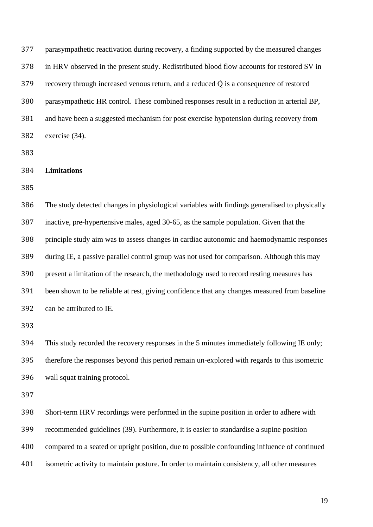parasympathetic reactivation during recovery, a finding supported by the measured changes in HRV observed in the present study. Redistributed blood flow accounts for restored SV in recovery through increased venous return, and a reduced  $\dot{Q}$  is a consequence of restored parasympathetic HR control. These combined responses result in a reduction in arterial BP, and have been a suggested mechanism for post exercise hypotension during recovery from exercise (34).

**Limitations** 

 The study detected changes in physiological variables with findings generalised to physically inactive, pre-hypertensive males, aged 30-65, as the sample population. Given that the principle study aim was to assess changes in cardiac autonomic and haemodynamic responses during IE, a passive parallel control group was not used for comparison. Although this may present a limitation of the research, the methodology used to record resting measures has been shown to be reliable at rest, giving confidence that any changes measured from baseline can be attributed to IE.

 This study recorded the recovery responses in the 5 minutes immediately following IE only; therefore the responses beyond this period remain un-explored with regards to this isometric wall squat training protocol.

 Short-term HRV recordings were performed in the supine position in order to adhere with recommended guidelines (39). Furthermore, it is easier to standardise a supine position compared to a seated or upright position, due to possible confounding influence of continued isometric activity to maintain posture. In order to maintain consistency, all other measures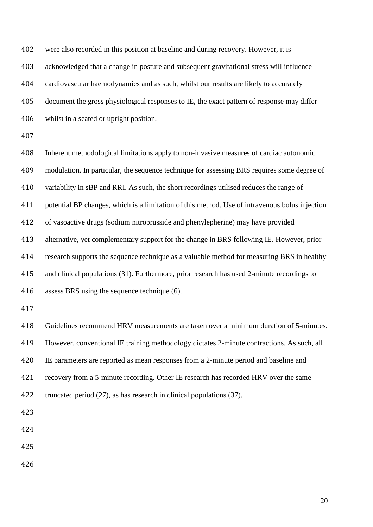were also recorded in this position at baseline and during recovery. However, it is acknowledged that a change in posture and subsequent gravitational stress will influence cardiovascular haemodynamics and as such, whilst our results are likely to accurately document the gross physiological responses to IE, the exact pattern of response may differ whilst in a seated or upright position. Inherent methodological limitations apply to non-invasive measures of cardiac autonomic modulation. In particular, the sequence technique for assessing BRS requires some degree of variability in sBP and RRI. As such, the short recordings utilised reduces the range of potential BP changes, which is a limitation of this method. Use of intravenous bolus injection of vasoactive drugs (sodium nitroprusside and phenylepherine) may have provided alternative, yet complementary support for the change in BRS following IE. However, prior research supports the sequence technique as a valuable method for measuring BRS in healthy and clinical populations (31). Furthermore, prior research has used 2-minute recordings to assess BRS using the sequence technique (6). Guidelines recommend HRV measurements are taken over a minimum duration of 5-minutes. However, conventional IE training methodology dictates 2-minute contractions. As such, all IE parameters are reported as mean responses from a 2-minute period and baseline and recovery from a 5-minute recording. Other IE research has recorded HRV over the same truncated period (27), as has research in clinical populations (37).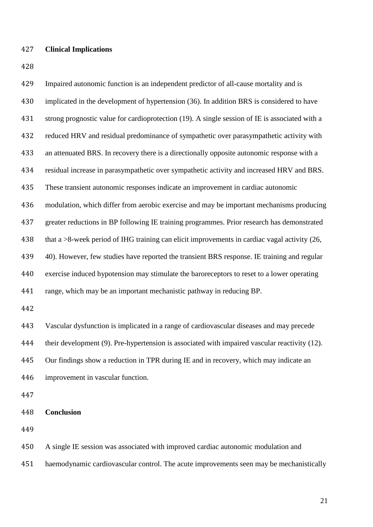#### **Clinical Implications**

 Impaired autonomic function is an independent predictor of all-cause mortality and is implicated in the development of hypertension (36). In addition BRS is considered to have 431 strong prognostic value for cardioprotection (19). A single session of IE is associated with a reduced HRV and residual predominance of sympathetic over parasympathetic activity with an attenuated BRS. In recovery there is a directionally opposite autonomic response with a residual increase in parasympathetic over sympathetic activity and increased HRV and BRS. These transient autonomic responses indicate an improvement in cardiac autonomic modulation, which differ from aerobic exercise and may be important mechanisms producing greater reductions in BP following IE training programmes. Prior research has demonstrated 438 that a >8-week period of IHG training can elicit improvements in cardiac vagal activity (26, 40). However, few studies have reported the transient BRS response. IE training and regular exercise induced hypotension may stimulate the baroreceptors to reset to a lower operating range, which may be an important mechanistic pathway in reducing BP. Vascular dysfunction is implicated in a range of cardiovascular diseases and may precede their development (9). Pre-hypertension is associated with impaired vascular reactivity (12). Our findings show a reduction in TPR during IE and in recovery, which may indicate an improvement in vascular function. **Conclusion**  A single IE session was associated with improved cardiac autonomic modulation and haemodynamic cardiovascular control. The acute improvements seen may be mechanistically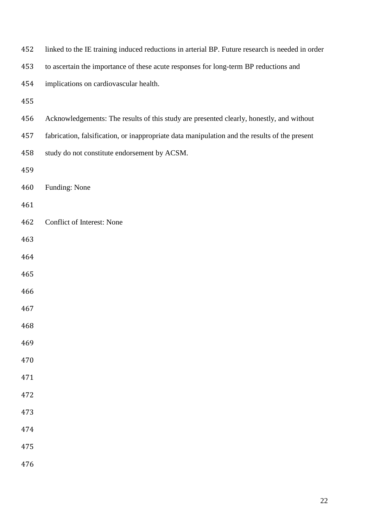| 452 | linked to the IE training induced reductions in arterial BP. Future research is needed in order |
|-----|-------------------------------------------------------------------------------------------------|
| 453 | to ascertain the importance of these acute responses for long-term BP reductions and            |
| 454 | implications on cardiovascular health.                                                          |
| 455 |                                                                                                 |
| 456 | Acknowledgements: The results of this study are presented clearly, honestly, and without        |
| 457 | fabrication, falsification, or inappropriate data manipulation and the results of the present   |
| 458 | study do not constitute endorsement by ACSM.                                                    |
| 459 |                                                                                                 |
| 460 | Funding: None                                                                                   |
| 461 |                                                                                                 |
| 462 | Conflict of Interest: None                                                                      |
| 463 |                                                                                                 |
| 464 |                                                                                                 |
| 465 |                                                                                                 |
| 466 |                                                                                                 |
| 467 |                                                                                                 |
| 468 |                                                                                                 |
| 469 |                                                                                                 |
| 470 |                                                                                                 |
| 471 |                                                                                                 |
| 472 |                                                                                                 |
| 473 |                                                                                                 |
| 474 |                                                                                                 |
| 475 |                                                                                                 |
| 476 |                                                                                                 |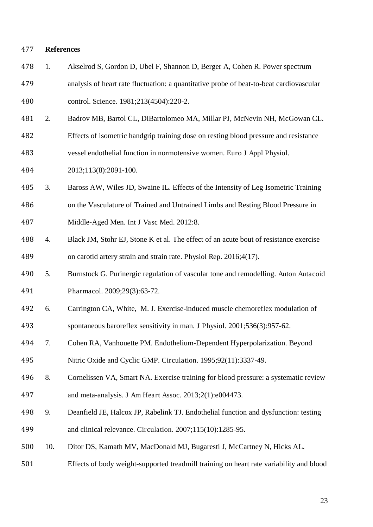#### **References**

- 1. Akselrod S, Gordon D, Ubel F, Shannon D, Berger A, Cohen R. Power spectrum analysis of heart rate fluctuation: a quantitative probe of beat-to-beat cardiovascular control. Science. 1981;213(4504):220-2.
- 2. Badrov MB, Bartol CL, DiBartolomeo MA, Millar PJ, McNevin NH, McGowan CL.
- Effects of isometric handgrip training dose on resting blood pressure and resistance
- vessel endothelial function in normotensive women. Euro J Appl Physiol.

2013;113(8):2091-100.

- 3. Baross AW, Wiles JD, Swaine IL. Effects of the Intensity of Leg Isometric Training
- on the Vasculature of Trained and Untrained Limbs and Resting Blood Pressure in
- Middle-Aged Men. Int J Vasc Med. 2012:8.
- 4. Black JM, Stohr EJ, Stone K et al. The effect of an acute bout of resistance exercise on carotid artery strain and strain rate. Physiol Rep. 2016;4(17).
- 5. Burnstock G. Purinergic regulation of vascular tone and remodelling. Auton Autacoid Pharmacol. 2009;29(3):63-72.
- 6. Carrington CA, White, M. J. Exercise-induced muscle chemoreflex modulation of spontaneous baroreflex sensitivity in man. J Physiol. 2001;536(3):957-62.
- 7. Cohen RA, Vanhouette PM. Endothelium-Dependent Hyperpolarization. Beyond
- Nitric Oxide and Cyclic GMP. Circulation. 1995;92(11):3337-49.
- 8. Cornelissen VA, Smart NA. Exercise training for blood pressure: a systematic review and meta-analysis. J Am Heart Assoc. 2013;2(1):e004473.
- 9. Deanfield JE, Halcox JP, Rabelink TJ. Endothelial function and dysfunction: testing and clinical relevance. Circulation. 2007;115(10):1285-95.
- 10. Ditor DS, Kamath MV, MacDonald MJ, Bugaresti J, McCartney N, Hicks AL.
- Effects of body weight-supported treadmill training on heart rate variability and blood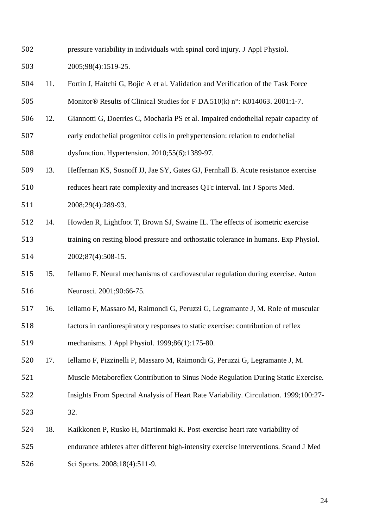- pressure variability in individuals with spinal cord injury. J Appl Physiol.
- 2005;98(4):1519-25.
- 11. Fortin J, Haitchi G, Bojic A et al. Validation and Verification of the Task Force Monitor® Results of Clinical Studies for F DA 510(k) n°: K014063. 2001:1-7.
- 12. Giannotti G, Doerries C, Mocharla PS et al. Impaired endothelial repair capacity of early endothelial progenitor cells in prehypertension: relation to endothelial dysfunction. Hypertension. 2010;55(6):1389-97.
- 13. Heffernan KS, Sosnoff JJ, Jae SY, Gates GJ, Fernhall B. Acute resistance exercise
- reduces heart rate complexity and increases QTc interval. Int J Sports Med. 2008;29(4):289-93.
- 14. Howden R, Lightfoot T, Brown SJ, Swaine IL. The effects of isometric exercise training on resting blood pressure and orthostatic tolerance in humans. Exp Physiol. 2002;87(4):508-15.
- 15. Iellamo F. Neural mechanisms of cardiovascular regulation during exercise. Auton Neurosci. 2001;90:66-75.
- 16. Iellamo F, Massaro M, Raimondi G, Peruzzi G, Legramante J, M. Role of muscular factors in cardiorespiratory responses to static exercise: contribution of reflex mechanisms. J Appl Physiol. 1999;86(1):175-80.
- 17. Iellamo F, Pizzinelli P, Massaro M, Raimondi G, Peruzzi G, Legramante J, M.
- Muscle Metaboreflex Contribution to Sinus Node Regulation During Static Exercise.
- Insights From Spectral Analysis of Heart Rate Variability. Circulation. 1999;100:27-
- 32.
- 18. Kaikkonen P, Rusko H, Martinmaki K. Post-exercise heart rate variability of
- endurance athletes after different high-intensity exercise interventions. Scand J Med
- 526 Sci Sports. 2008;18(4):511-9.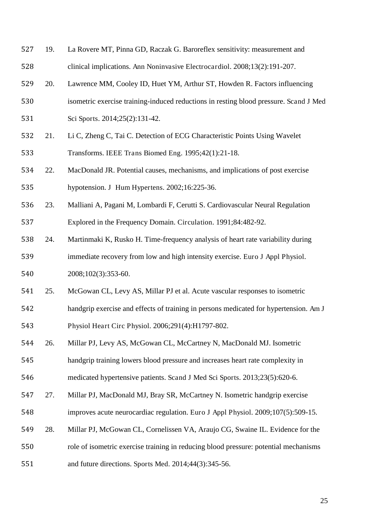- 19. La Rovere MT, Pinna GD, Raczak G. Baroreflex sensitivity: measurement and clinical implications. Ann Noninvasive Electrocardiol. 2008;13(2):191-207.
- 20. Lawrence MM, Cooley ID, Huet YM, Arthur ST, Howden R. Factors influencing
- isometric exercise training-induced reductions in resting blood pressure. Scand J Med
- 531 Sci Sports. 2014;25(2):131-42.
- 21. Li C, Zheng C, Tai C. Detection of ECG Characteristic Points Using Wavelet Transforms. IEEE Trans Biomed Eng. 1995;42(1):21-18.
- 22. MacDonald JR. Potential causes, mechanisms, and implications of post exercise hypotension. J Hum Hypertens. 2002;16:225-36.
- 
- 23. Malliani A, Pagani M, Lombardi F, Cerutti S. Cardiovascular Neural Regulation Explored in the Frequency Domain. Circulation. 1991;84:482-92.
- 24. Martinmaki K, Rusko H. Time-frequency analysis of heart rate variability during immediate recovery from low and high intensity exercise. Euro J Appl Physiol. 2008;102(3):353-60.
- 25. McGowan CL, Levy AS, Millar PJ et al. Acute vascular responses to isometric
- handgrip exercise and effects of training in persons medicated for hypertension. Am J
- Physiol Heart Circ Physiol. 2006;291(4):H1797-802.
- 26. Millar PJ, Levy AS, McGowan CL, McCartney N, MacDonald MJ. Isometric
- handgrip training lowers blood pressure and increases heart rate complexity in
- medicated hypertensive patients. Scand J Med Sci Sports. 2013;23(5):620-6.
- 27. Millar PJ, MacDonald MJ, Bray SR, McCartney N. Isometric handgrip exercise
- improves acute neurocardiac regulation. Euro J Appl Physiol. 2009;107(5):509-15.
- 28. Millar PJ, McGowan CL, Cornelissen VA, Araujo CG, Swaine IL. Evidence for the
- role of isometric exercise training in reducing blood pressure: potential mechanisms
- and future directions. Sports Med. 2014;44(3):345-56.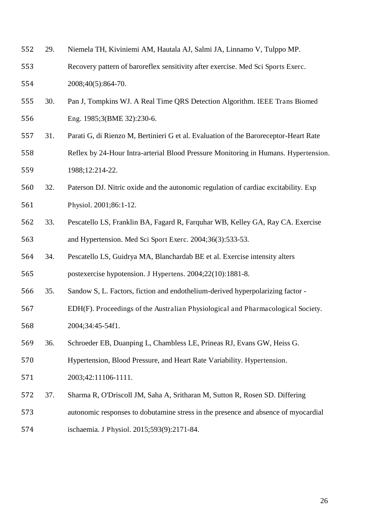- 29. Niemela TH, Kiviniemi AM, Hautala AJ, Salmi JA, Linnamo V, Tulppo MP.
- Recovery pattern of baroreflex sensitivity after exercise. Med Sci Sports Exerc. 2008;40(5):864-70.
- 30. Pan J, Tompkins WJ. A Real Time QRS Detection Algorithm. IEEE Trans Biomed Eng. 1985;3(BME 32):230-6.
- 31. Parati G, di Rienzo M, Bertinieri G et al. Evaluation of the Baroreceptor-Heart Rate Reflex by 24-Hour Intra-arterial Blood Pressure Monitoring in Humans. Hypertension. 1988;12:214-22.
- 32. Paterson DJ. Nitric oxide and the autonomic regulation of cardiac excitability. Exp Physiol. 2001;86:1-12.
- 33. Pescatello LS, Franklin BA, Fagard R, Farquhar WB, Kelley GA, Ray CA. Exercise and Hypertension. Med Sci Sport Exerc. 2004;36(3):533-53.
- 34. Pescatello LS, Guidrya MA, Blanchardab BE et al. Exercise intensity alters postexercise hypotension. J Hypertens. 2004;22(10):1881-8.
- 35. Sandow S, L. Factors, fiction and endothelium-derived hyperpolarizing factor -
- EDH(F). Proceedings of the Australian Physiological and Pharmacological Society. 2004;34:45-54f1.
- 36. Schroeder EB, Duanping L, Chambless LE, Prineas RJ, Evans GW, Heiss G.
- Hypertension, Blood Pressure, and Heart Rate Variability. Hypertension.
- 2003;42:11106-1111.
- 37. Sharma R, O'Driscoll JM, Saha A, Sritharan M, Sutton R, Rosen SD. Differing
- autonomic responses to dobutamine stress in the presence and absence of myocardial
- ischaemia. J Physiol. 2015;593(9):2171-84.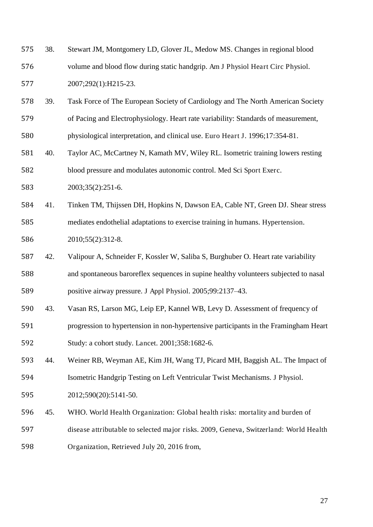- 38. Stewart JM, Montgomery LD, Glover JL, Medow MS. Changes in regional blood volume and blood flow during static handgrip. Am J Physiol Heart Circ Physiol. 2007;292(1):H215-23.
- 39. Task Force of The European Society of Cardiology and The North American Society of Pacing and Electrophysiology. Heart rate variability: Standards of measurement,
- physiological interpretation, and clinical use. Euro Heart J. 1996;17:354-81.
- 40. Taylor AC, McCartney N, Kamath MV, Wiley RL. Isometric training lowers resting blood pressure and modulates autonomic control. Med Sci Sport Exerc.
- 2003;35(2):251-6.
- 41. Tinken TM, Thijssen DH, Hopkins N, Dawson EA, Cable NT, Green DJ. Shear stress mediates endothelial adaptations to exercise training in humans. Hypertension. 2010;55(2):312-8.

- 42. Valipour A, Schneider F, Kossler W, Saliba S, Burghuber O. Heart rate variability and spontaneous baroreflex sequences in supine healthy volunteers subjected to nasal positive airway pressure. J Appl Physiol. 2005;99:2137–43.
- 43. Vasan RS, Larson MG, Leip EP, Kannel WB, Levy D. Assessment of frequency of
- progression to hypertension in non-hypertensive participants in the Framingham Heart Study: a cohort study. Lancet. 2001;358:1682-6.
- 44. Weiner RB, Weyman AE, Kim JH, Wang TJ, Picard MH, Baggish AL. The Impact of
- Isometric Handgrip Testing on Left Ventricular Twist Mechanisms. J Physiol.
- 2012;590(20):5141-50.
- 45. WHO. World Health Organization: Global health risks: mortality and burden of
- disease attributable to selected major risks. 2009, Geneva, Switzerland: World Health
- Organization, Retrieved July 20, 2016 from,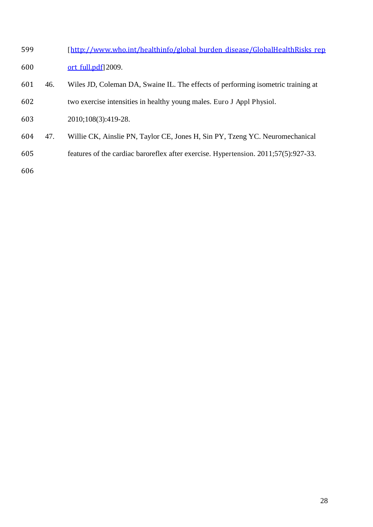- 599 [[http://www.who.int/healthinfo/global\\_burden\\_disease/GlobalHealthRisks\\_rep](http://www.who.int/healthinfo/global_burden_disease/GlobalHealthRisks_report_full.pdf) 600 <u>ort full.pdf]</u> 2009.
- 46. Wiles JD, Coleman DA, Swaine IL. The effects of performing isometric training at two exercise intensities in healthy young males. Euro J Appl Physiol.
- 2010;108(3):419-28.
- 47. Willie CK, Ainslie PN, Taylor CE, Jones H, Sin PY, Tzeng YC. Neuromechanical
- features of the cardiac baroreflex after exercise. Hypertension. 2011;57(5):927-33.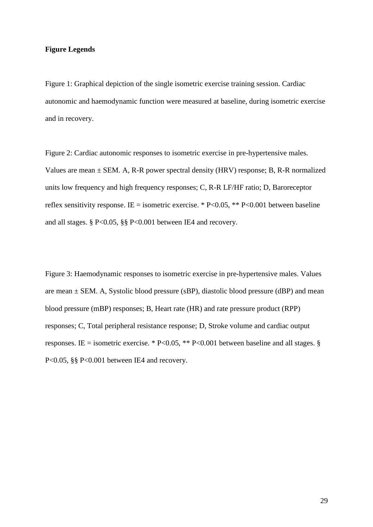#### **Figure Legends**

Figure 1: Graphical depiction of the single isometric exercise training session. Cardiac autonomic and haemodynamic function were measured at baseline, during isometric exercise and in recovery.

Figure 2: Cardiac autonomic responses to isometric exercise in pre-hypertensive males. Values are mean  $\pm$  SEM. A, R-R power spectral density (HRV) response; B, R-R normalized units low frequency and high frequency responses; C, R-R LF/HF ratio; D, Baroreceptor reflex sensitivity response. IE = isometric exercise. \*  $P<0.05$ , \*\*  $P<0.001$  between baseline and all stages. § P<0.05, §§ P<0.001 between IE4 and recovery.

Figure 3: Haemodynamic responses to isometric exercise in pre-hypertensive males. Values are mean  $\pm$  SEM. A, Systolic blood pressure (sBP), diastolic blood pressure (dBP) and mean blood pressure (mBP) responses; B, Heart rate (HR) and rate pressure product (RPP) responses; C, Total peripheral resistance response; D, Stroke volume and cardiac output responses. IE = isometric exercise. \* P<0.05, \*\* P<0.001 between baseline and all stages. § P<0.05, §§ P<0.001 between IE4 and recovery.